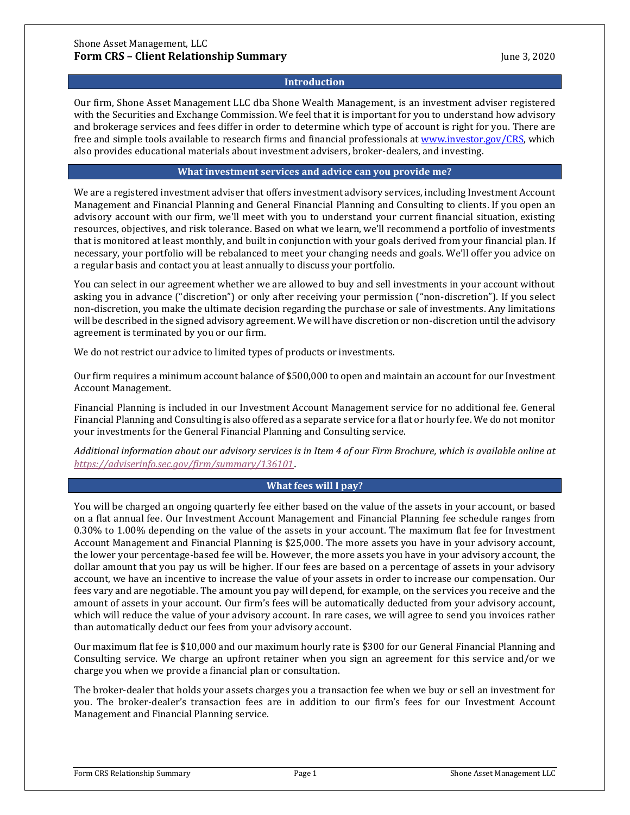# **Introduction**

Our firm, Shone Asset Management LLC dba Shone Wealth Management, is an investment adviser registered with the Securities and Exchange Commission. We feel that it is important for you to understand how advisory and brokerage services and fees differ in order to determine which type of account is right for you. There are free and simple tools available to research firms and financial professionals a[t www.investor.gov/CRS,](http://www.investor.gov/CRS) which also provides educational materials about investment advisers, broker-dealers, and investing.

# **What investment services and advice can you provide me?**

We are a registered investment adviser that offers investment advisory services, including Investment Account Management and Financial Planning and General Financial Planning and Consulting to clients. If you open an advisory account with our firm, we'll meet with you to understand your current financial situation, existing resources, objectives, and risk tolerance. Based on what we learn, we'll recommend a portfolio of investments that is monitored at least monthly, and built in conjunction with your goals derived from your financial plan. If necessary, your portfolio will be rebalanced to meet your changing needs and goals. We'll offer you advice on a regular basis and contact you at least annually to discuss your portfolio.

You can select in our agreement whether we are allowed to buy and sell investments in your account without asking you in advance ("discretion") or only after receiving your permission ("non-discretion"). If you select non-discretion, you make the ultimate decision regarding the purchase or sale of investments. Any limitations will be described in the signed advisory agreement. We will have discretion or non-discretion until the advisory agreement is terminated by you or our firm.

We do not restrict our advice to limited types of products or investments.

Our firm requires a minimum account balance of \$500,000 to open and maintain an account for our Investment Account Management.

Financial Planning is included in our Investment Account Management service for no additional fee. General Financial Planning and Consulting is also offered as a separate service for a flat or hourly fee. We do not monitor your investments for the General Financial Planning and Consulting service.

*Additional information about our advisory services is in Item 4 of our Firm Brochure, which is available online at <https://adviserinfo.sec.gov/firm/summary/136101>*.

# **What fees will I pay?**

You will be charged an ongoing quarterly fee either based on the value of the assets in your account, or based on a flat annual fee. Our Investment Account Management and Financial Planning fee schedule ranges from 0.30% to 1.00% depending on the value of the assets in your account. The maximum flat fee for Investment Account Management and Financial Planning is \$25,000. The more assets you have in your advisory account, the lower your percentage-based fee will be. However, the more assets you have in your advisory account, the dollar amount that you pay us will be higher. If our fees are based on a percentage of assets in your advisory account, we have an incentive to increase the value of your assets in order to increase our compensation. Our fees vary and are negotiable. The amount you pay will depend, for example, on the services you receive and the amount of assets in your account. Our firm's fees will be automatically deducted from your advisory account, which will reduce the value of your advisory account. In rare cases, we will agree to send you invoices rather than automatically deduct our fees from your advisory account.

Our maximum flat fee is \$10,000 and our maximum hourly rate is \$300 for our General Financial Planning and Consulting service. We charge an upfront retainer when you sign an agreement for this service and/or we charge you when we provide a financial plan or consultation.

The broker-dealer that holds your assets charges you a transaction fee when we buy or sell an investment for you. The broker-dealer's transaction fees are in addition to our firm's fees for our Investment Account Management and Financial Planning service.